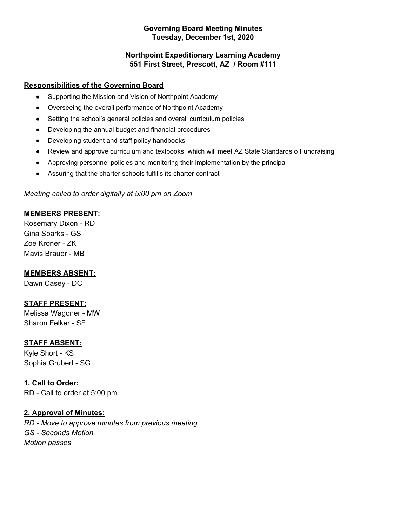#### **Governing Board Meeting Minutes Tuesday, December 1st, 2020**

### **Northpoint Expeditionary Learning Academy 551 First Street, Prescott, AZ / Room #111**

### **Responsibilities of the Governing Board**

- Supporting the Mission and Vision of Northpoint Academy
- Overseeing the overall performance of Northpoint Academy
- Setting the school's general policies and overall curriculum policies
- Developing the annual budget and financial procedures
- Developing student and staff policy handbooks
- Review and approve curriculum and textbooks, which will meet AZ State Standards o Fundraising
- Approving personnel policies and monitoring their implementation by the principal
- Assuring that the charter schools fulfills its charter contract

### *Meeting called to order digitally at 5:00 pm on Zoom*

### **MEMBERS PRESENT:**

Rosemary Dixon - RD Gina Sparks - GS Zoe Kroner - ZK Mavis Brauer - MB

### **MEMBERS ABSENT:**

Dawn Casey - DC

### **STAFF PRESENT:**

Melissa Wagoner - MW Sharon Felker - SF

### **STAFF ABSENT:**

Kyle Short - KS Sophia Grubert - SG

### **1. Call to Order:**

RD - Call to order at 5:00 pm

### **2. Approval of Minutes:**

*RD - Move to approve minutes from previous meeting GS - Seconds Motion Motion passes*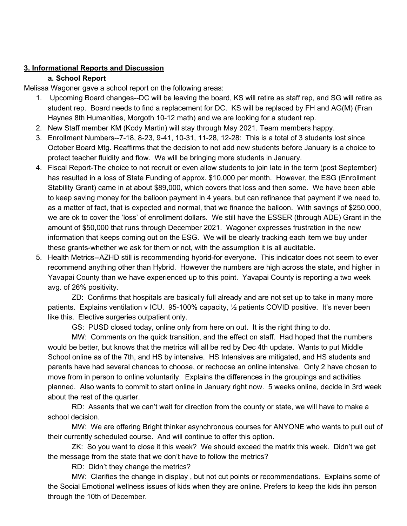#### **3. Informational Reports and Discussion**

#### **a. School Report**

Melissa Wagoner gave a school report on the following areas:

- 1. Upcoming Board changes--DC will be leaving the board, KS will retire as staff rep, and SG will retire as student rep. Board needs to find a replacement for DC. KS will be replaced by FH and AG(M) (Fran Haynes 8th Humanities, Morgoth 10-12 math) and we are looking for a student rep.
- 2. New Staff member KM (Kody Martin) will stay through May 2021. Team members happy.
- 3. Enrollment Numbers--7-18, 8-23, 9-41, 10-31, 11-28, 12-28: This is a total of 3 students lost since October Board Mtg. Reaffirms that the decision to not add new students before January is a choice to protect teacher fluidity and flow. We will be bringing more students in January.
- 4. Fiscal Report-The choice to not recruit or even allow students to join late in the term (post September) has resulted in a loss of State Funding of approx. \$10,000 per month. However, the ESG (Enrollment Stability Grant) came in at about \$89,000, which covers that loss and then some. We have been able to keep saving money for the balloon payment in 4 years, but can refinance that payment if we need to, as a matter of fact, that is expected and normal, that we finance the balloon. With savings of \$250,000, we are ok to cover the 'loss' of enrollment dollars. We still have the ESSER (through ADE) Grant in the amount of \$50,000 that runs through December 2021. Wagoner expresses frustration in the new information that keeps coming out on the ESG. We will be clearly tracking each item we buy under these grants-whether we ask for them or not, with the assumption it is all auditable.
- 5. Health Metrics--AZHD still is recommending hybrid-for everyone. This indicator does not seem to ever recommend anything other than Hybrid. However the numbers are high across the state, and higher in Yavapai County than we have experienced up to this point. Yavapai County is reporting a two week avg. of 26% positivity.

ZD: Confirms that hospitals are basically full already and are not set up to take in many more patients. Explains ventilation v ICU. 95-100% capacity, ½ patients COVID positive. It's never been like this. Elective surgeries outpatient only.

GS: PUSD closed today, online only from here on out. It is the right thing to do.

MW: Comments on the quick transition, and the effect on staff. Had hoped that the numbers would be better, but knows that the metrics will all be red by Dec 4th update. Wants to put Middle School online as of the 7th, and HS by intensive. HS Intensives are mitigated, and HS students and parents have had several chances to choose, or rechoose an online intensive. Only 2 have chosen to move from in person to online voluntarily. Explains the differences in the groupings and activities planned. Also wants to commit to start online in January right now. 5 weeks online, decide in 3rd week about the rest of the quarter.

RD: Assents that we can't wait for direction from the county or state, we will have to make a school decision.

MW: We are offering Bright thinker asynchronous courses for ANYONE who wants to pull out of their currently scheduled course. And will continue to offer this option.

ZK: So you want to close it this week? We should exceed the matrix this week. Didn't we get the message from the state that we don't have to follow the metrics?

RD: Didn't they change the metrics?

MW: Clarifies the change in display , but not cut points or recommendations. Explains some of the Social Emotional wellness issues of kids when they are online. Prefers to keep the kids ihn person through the 10th of December.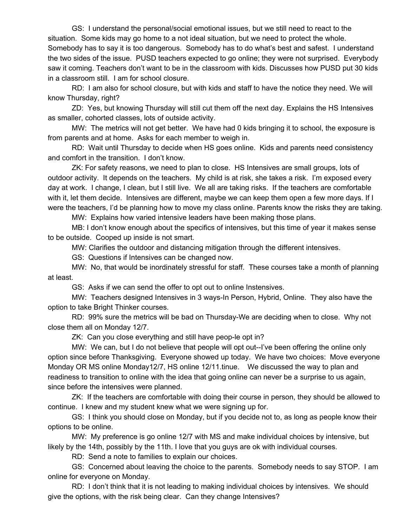GS: I understand the personal/social emotional issues, but we still need to react to the situation. Some kids may go home to a not ideal situation, but we need to protect the whole. Somebody has to say it is too dangerous. Somebody has to do what's best and safest. I understand the two sides of the issue. PUSD teachers expected to go online; they were not surprised. Everybody saw it coming. Teachers don't want to be in the classroom with kids. Discusses how PUSD put 30 kids in a classroom still. I am for school closure.

RD: I am also for school closure, but with kids and staff to have the notice they need. We will know Thursday, right?

ZD: Yes, but knowing Thursday will still cut them off the next day. Explains the HS Intensives as smaller, cohorted classes, lots of outside activity.

MW: The metrics will not get better. We have had 0 kids bringing it to school, the exposure is from parents and at home. Asks for each member to weigh in.

RD: Wait until Thursday to decide when HS goes online. Kids and parents need consistency and comfort in the transition. I don't know.

ZK: For safety reasons, we need to plan to close. HS Intensives are small groups, lots of outdoor activity. It depends on the teachers. My child is at risk, she takes a risk. I'm exposed every day at work. I change, I clean, but I still live. We all are taking risks. If the teachers are comfortable with it, let them decide. Intensives are different, maybe we can keep them open a few more days. If I were the teachers, I'd be planning how to move my class online. Parents know the risks they are taking.

MW: Explains how varied intensive leaders have been making those plans.

MB: I don't know enough about the specifics of intensives, but this time of year it makes sense to be outside. Cooped up inside is not smart.

MW: Clarifies the outdoor and distancing mitigation through the different intensives.

GS: Questions if Intensives can be changed now.

MW: No, that would be inordinately stressful for staff. These courses take a month of planning at least.

GS: Asks if we can send the offer to opt out to online Instensives.

MW: Teachers designed Intensives in 3 ways-In Person, Hybrid, Online. They also have the option to take Bright Thinker courses.

RD: 99% sure the metrics will be bad on Thursday-We are deciding when to close. Why not close them all on Monday 12/7.

ZK: Can you close everything and still have peop-le opt in?

MW: We can, but I do not believe that people will opt out--I've been offering the online only option since before Thanksgiving. Everyone showed up today. We have two choices: Move everyone Monday OR MS online Monday12/7, HS online 12/11.tinue. We discussed the way to plan and readiness to transition to online with the idea that going online can never be a surprise to us again, since before the intensives were planned.

ZK: If the teachers are comfortable with doing their course in person, they should be allowed to continue. I knew and my student knew what we were signing up for.

GS: I think you should close on Monday, but if you decide not to, as long as people know their options to be online.

MW: My preference is go online 12/7 with MS and make individual choices by intensive, but likely by the 14th, possibly by the 11th. I love that you guys are ok with individual courses.

RD: Send a note to families to explain our choices.

GS: Concerned about leaving the choice to the parents. Somebody needs to say STOP. I am online for everyone on Monday.

RD: I don't think that it is not leading to making individual choices by intensives. We should give the options, with the risk being clear. Can they change Intensives?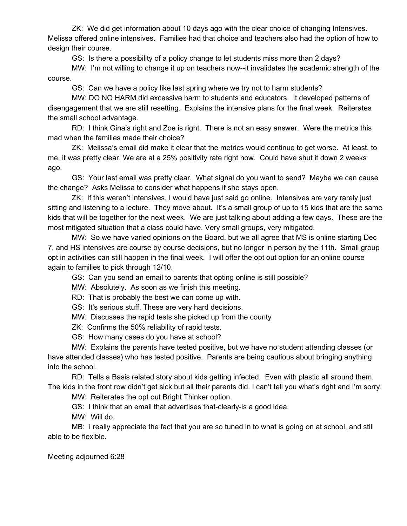ZK: We did get information about 10 days ago with the clear choice of changing Intensives. Melissa offered online intensives. Families had that choice and teachers also had the option of how to design their course.

GS: Is there a possibility of a policy change to let students miss more than 2 days?

MW: I'm not willing to change it up on teachers now--it invalidates the academic strength of the course.

GS: Can we have a policy like last spring where we try not to harm students?

MW: DO NO HARM did excessive harm to students and educators. It developed patterns of disengagement that we are still resetting. Explains the intensive plans for the final week. Reiterates the small school advantage.

RD: I think Gina's right and Zoe is right. There is not an easy answer. Were the metrics this mad when the families made their choice?

ZK: Melissa's email did make it clear that the metrics would continue to get worse. At least, to me, it was pretty clear. We are at a 25% positivity rate right now. Could have shut it down 2 weeks ago.

GS: Your last email was pretty clear. What signal do you want to send? Maybe we can cause the change? Asks Melissa to consider what happens if she stays open.

ZK: If this weren't intensives, I would have just said go online. Intensives are very rarely just sitting and listening to a lecture. They move about. It's a small group of up to 15 kids that are the same kids that will be together for the next week. We are just talking about adding a few days. These are the most mitigated situation that a class could have. Very small groups, very mitigated.

MW: So we have varied opinions on the Board, but we all agree that MS is online starting Dec 7, and HS intensives are course by course decisions, but no longer in person by the 11th. Small group opt in activities can still happen in the final week. I will offer the opt out option for an online course again to families to pick through 12/10.

GS: Can you send an email to parents that opting online is still possible?

MW: Absolutely. As soon as we finish this meeting.

RD: That is probably the best we can come up with.

GS: It's serious stuff. These are very hard decisions.

MW: Discusses the rapid tests she picked up from the county

ZK: Confirms the 50% reliability of rapid tests.

GS: How many cases do you have at school?

MW: Explains the parents have tested positive, but we have no student attending classes (or have attended classes) who has tested positive. Parents are being cautious about bringing anything into the school.

RD: Tells a Basis related story about kids getting infected. Even with plastic all around them. The kids in the front row didn't get sick but all their parents did. I can't tell you what's right and I'm sorry.

MW: Reiterates the opt out Bright Thinker option.

GS: I think that an email that advertises that-clearly-is a good idea.

MW: Will do.

MB: I really appreciate the fact that you are so tuned in to what is going on at school, and still able to be flexible.

Meeting adjourned 6:28